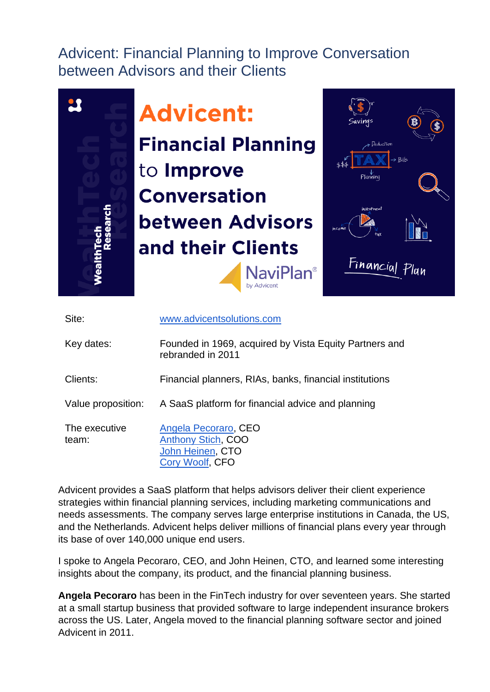Advicent: Financial Planning to Improve Conversation between Advisors and their Clients



| Site:                  | www.advicentsolutions.com                                                                |
|------------------------|------------------------------------------------------------------------------------------|
| Key dates:             | Founded in 1969, acquired by Vista Equity Partners and<br>rebranded in 2011              |
| Clients:               | Financial planners, RIAs, banks, financial institutions                                  |
| Value proposition:     | A SaaS platform for financial advice and planning                                        |
| The executive<br>team: | Angela Pecoraro, CEO<br><b>Anthony Stich, COO</b><br>John Heinen, CTO<br>Cory Woolf, CFO |

Advicent provides a SaaS platform that helps advisors deliver their client experience strategies within financial planning services, including marketing communications and needs assessments. The company serves large enterprise institutions in Canada, the US, and the Netherlands. Advicent helps deliver millions of financial plans every year through its base of over 140,000 unique end users.

I spoke to Angela Pecoraro, CEO, and John Heinen, CTO, and learned some interesting insights about the company, its product, and the financial planning business.

**Angela Pecoraro** has been in the FinTech industry for over seventeen years. She started at a small startup business that provided software to large independent insurance brokers across the US. Later, Angela moved to the financial planning software sector and joined Advicent in 2011.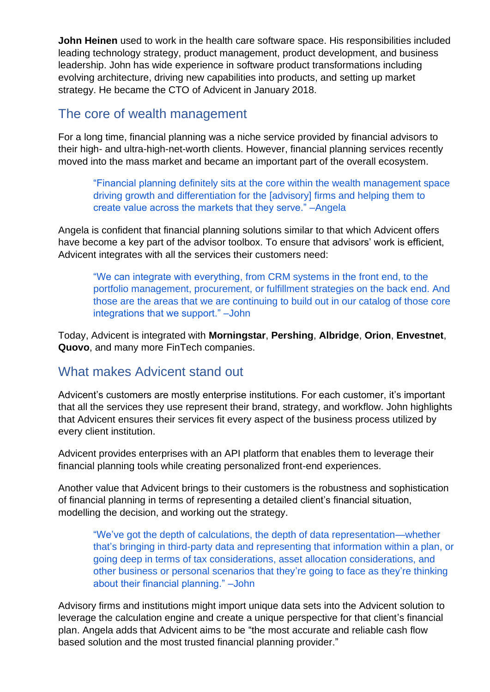**John Heinen** used to work in the health care software space. His responsibilities included leading technology strategy, product management, product development, and business leadership. John has wide experience in software product transformations including evolving architecture, driving new capabilities into products, and setting up market strategy. He became the CTO of Advicent in January 2018.

#### The core of wealth management

For a long time, financial planning was a niche service provided by financial advisors to their high- and ultra-high-net-worth clients. However, financial planning services recently moved into the mass market and became an important part of the overall ecosystem.

"Financial planning definitely sits at the core within the wealth management space driving growth and differentiation for the [advisory] firms and helping them to create value across the markets that they serve." –Angela

Angela is confident that financial planning solutions similar to that which Advicent offers have become a key part of the advisor toolbox. To ensure that advisors' work is efficient, Advicent integrates with all the services their customers need:

"We can integrate with everything, from CRM systems in the front end, to the portfolio management, procurement, or fulfillment strategies on the back end. And those are the areas that we are continuing to build out in our catalog of those core integrations that we support." –John

Today, Advicent is integrated with **Morningstar**, **Pershing**, **Albridge**, **Orion**, **Envestnet**, **Quovo**, and many more FinTech companies.

### What makes Advicent stand out

Advicent's customers are mostly enterprise institutions. For each customer, it's important that all the services they use represent their brand, strategy, and workflow. John highlights that Advicent ensures their services fit every aspect of the business process utilized by every client institution.

Advicent provides enterprises with an API platform that enables them to leverage their financial planning tools while creating personalized front-end experiences.

Another value that Advicent brings to their customers is the robustness and sophistication of financial planning in terms of representing a detailed client's financial situation, modelling the decision, and working out the strategy.

"We've got the depth of calculations, the depth of data representation—whether that's bringing in third-party data and representing that information within a plan, or going deep in terms of tax considerations, asset allocation considerations, and other business or personal scenarios that they're going to face as they're thinking about their financial planning." –John

Advisory firms and institutions might import unique data sets into the Advicent solution to leverage the calculation engine and create a unique perspective for that client's financial plan. Angela adds that Advicent aims to be "the most accurate and reliable cash flow based solution and the most trusted financial planning provider."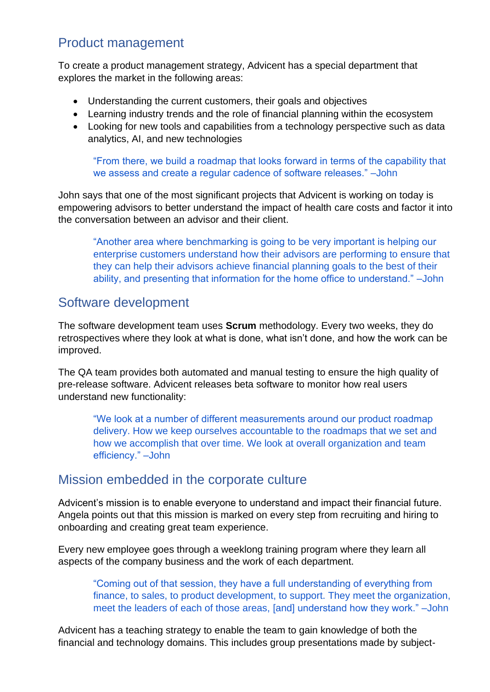## Product management

To create a product management strategy, Advicent has a special department that explores the market in the following areas:

- Understanding the current customers, their goals and objectives
- Learning industry trends and the role of financial planning within the ecosystem
- Looking for new tools and capabilities from a technology perspective such as data analytics, AI, and new technologies

"From there, we build a roadmap that looks forward in terms of the capability that we assess and create a regular cadence of software releases." –John

John says that one of the most significant projects that Advicent is working on today is empowering advisors to better understand the impact of health care costs and factor it into the conversation between an advisor and their client.

"Another area where benchmarking is going to be very important is helping our enterprise customers understand how their advisors are performing to ensure that they can help their advisors achieve financial planning goals to the best of their ability, and presenting that information for the home office to understand." –John

## Software development

The software development team uses **Scrum** methodology. Every two weeks, they do retrospectives where they look at what is done, what isn't done, and how the work can be improved.

The QA team provides both automated and manual testing to ensure the high quality of pre-release software. Advicent releases beta software to monitor how real users understand new functionality:

"We look at a number of different measurements around our product roadmap delivery. How we keep ourselves accountable to the roadmaps that we set and how we accomplish that over time. We look at overall organization and team efficiency." –John

### Mission embedded in the corporate culture

Advicent's mission is to enable everyone to understand and impact their financial future. Angela points out that this mission is marked on every step from recruiting and hiring to onboarding and creating great team experience.

Every new employee goes through a weeklong training program where they learn all aspects of the company business and the work of each department.

"Coming out of that session, they have a full understanding of everything from finance, to sales, to product development, to support. They meet the organization, meet the leaders of each of those areas, [and] understand how they work." –John

Advicent has a teaching strategy to enable the team to gain knowledge of both the financial and technology domains. This includes group presentations made by subject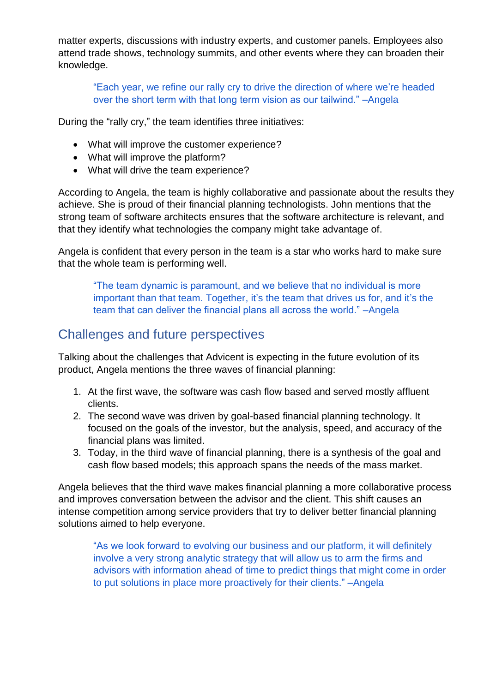matter experts, discussions with industry experts, and customer panels. Employees also attend trade shows, technology summits, and other events where they can broaden their knowledge.

"Each year, we refine our rally cry to drive the direction of where we're headed over the short term with that long term vision as our tailwind." –Angela

During the "rally cry," the team identifies three initiatives:

- What will improve the customer experience?
- What will improve the platform?
- What will drive the team experience?

According to Angela, the team is highly collaborative and passionate about the results they achieve. She is proud of their financial planning technologists. John mentions that the strong team of software architects ensures that the software architecture is relevant, and that they identify what technologies the company might take advantage of.

Angela is confident that every person in the team is a star who works hard to make sure that the whole team is performing well.

"The team dynamic is paramount, and we believe that no individual is more important than that team. Together, it's the team that drives us for, and it's the team that can deliver the financial plans all across the world." –Angela

## Challenges and future perspectives

Talking about the challenges that Advicent is expecting in the future evolution of its product, Angela mentions the three waves of financial planning:

- 1. At the first wave, the software was cash flow based and served mostly affluent clients.
- 2. The second wave was driven by goal-based financial planning technology. It focused on the goals of the investor, but the analysis, speed, and accuracy of the financial plans was limited.
- 3. Today, in the third wave of financial planning, there is a synthesis of the goal and cash flow based models; this approach spans the needs of the mass market.

Angela believes that the third wave makes financial planning a more collaborative process and improves conversation between the advisor and the client. This shift causes an intense competition among service providers that try to deliver better financial planning solutions aimed to help everyone.

"As we look forward to evolving our business and our platform, it will definitely involve a very strong analytic strategy that will allow us to arm the firms and advisors with information ahead of time to predict things that might come in order to put solutions in place more proactively for their clients." –Angela